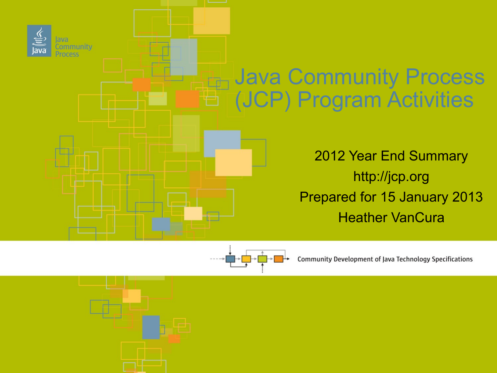



**Community Development of Java Technology Specifications**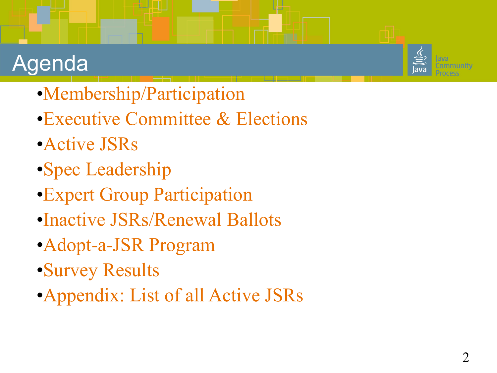#### Agenda

- •Membership/Participation
- •Executive Committee & Elections
- •Active JSRs
- •Spec Leadership
- •Expert Group Participation
- •Inactive JSRs/Renewal Ballots
- •Adopt-a-JSR Program
- •Survey Results
- •Appendix: List of all Active JSRs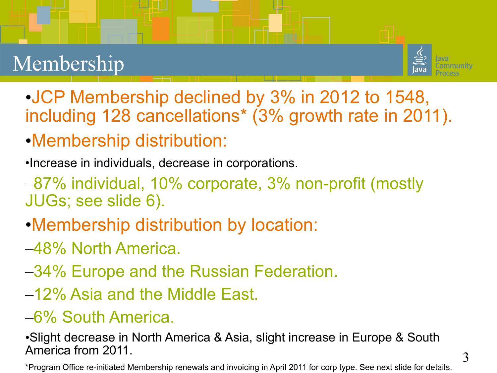#### Membership



- •JCP Membership declined by 3% in 2012 to 1548, including 128 cancellations\* (3% growth rate in 2011).
- •Membership distribution:
- •Increase in individuals, decrease in corporations.
- –87% individual, 10% corporate, 3% non-profit (mostly JUGs; see slide 6).
- •Membership distribution by location:
- –48% North America.
- –34% Europe and the Russian Federation.
- –12% Asia and the Middle East.
- –6% South America.

•Slight decrease in North America & Asia, slight increase in Europe & South America from 2011.

\*Program Office re-initiated Membership renewals and invoicing in April 2011 for corp type. See next slide for details.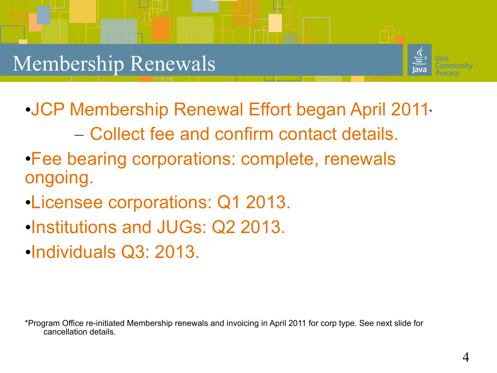#### Membership Renewals



- •JCP Membership Renewal Effort began April 2011\*
	- Collect fee and confirm contact details.
- •Fee bearing corporations: complete, renewals ongoing.
- •Licensee corporations: Q1 2013.
- •Institutions and JUGs: Q2 2013.
- •Individuals Q3: 2013.

\*Program Office re-initiated Membership renewals and invoicing in April 2011 for corp type. See next slide for cancellation details.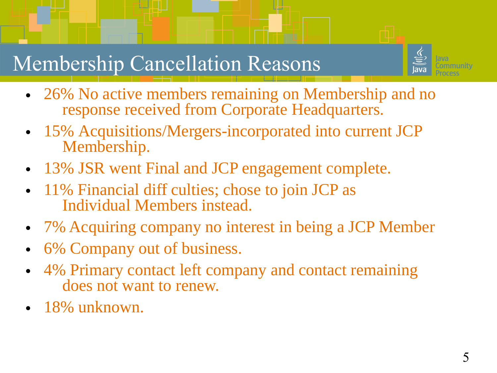

#### Membership Cancellation Reasons

- 26% No active members remaining on Membership and no response received from Corporate Headquarters.
- 15% Acquisitions/Mergers-incorporated into current JCP Membership.
- 13% JSR went Final and JCP engagement complete.
- 11% Financial diff culties; chose to join JCP as Individual Members instead.
- 7% Acquiring company no interest in being a JCP Member
- 6% Company out of business.
- 4% Primary contact left company and contact remaining does not want to renew.
- 18% unknown.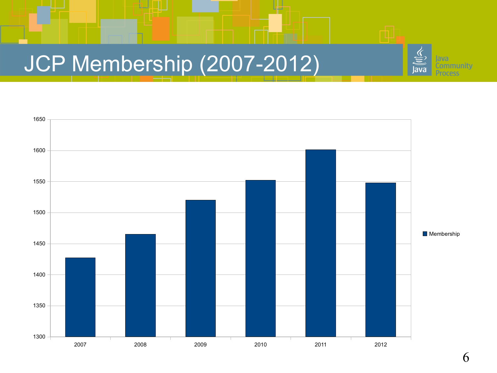## JCP Membership (2007-2012)



iva **Community** 

ava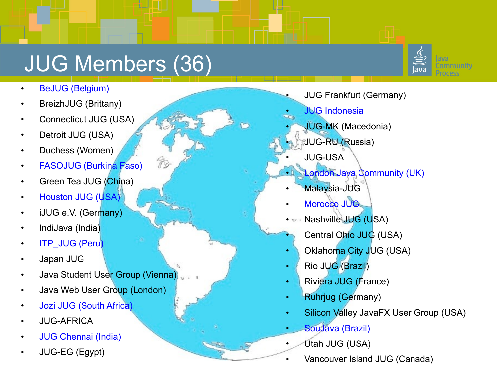## JUG Members (36)

k

- BeJUG (Belgium)
- BreizhJUG (Brittany)
- Connecticut JUG (USA)
- Detroit JUG (USA)
- Duchess (Women)
- FASOJUG (Burkina Faso)
- Green Tea JUG (China)
- Houston JUG (USA)
- iJUG e.V. (Germany)
- IndiJava (India)
- **ITP\_JUG (Peru)**
- Japan JUG
- Java Student User Group (Vienna)
- Java Web User Group (London)
- Jozi JUG (South Africa)
- JUG-AFRICA
- JUG Chennai (India)
- JUG-EG (Egypt)
- JUG Frankfurt (Germany)
- **JUG Indonesia**
- JUG-MK (Macedonia)
- JUG-RU (Russia)
- JUG-USA
- **London Java Community (UK)**
- Malaysia-JUG
- Morocco JUG
- Nashville JUG (USA)
	- Central Ohio JUG (USA)
- Oklahoma City JUG (USA)
- Rio JUG (Brazil)
- Riviera JUG (France)
- Ruhrjug (Germany)
- Silicon Valley JavaFX User Group (USA)
- SouJava (Brazil)
- Utah JUG (USA)
- Vancouver Island JUG (Canada)

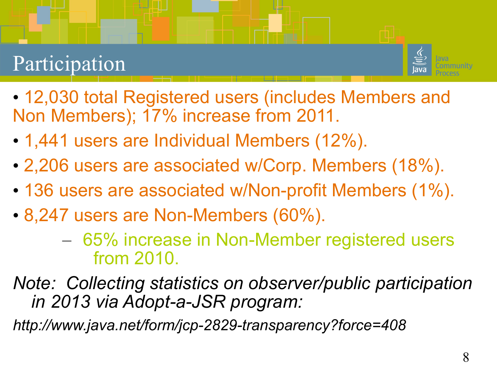#### Participation

![](_page_7_Picture_1.jpeg)

- 12,030 total Registered users (includes Members and Non Members); 17% increase from 2011.
- 1,441 users are Individual Members (12%).
- 2,206 users are associated w/Corp. Members (18%).
- 136 users are associated w/Non-profit Members (1%).
- 8,247 users are Non-Members (60%).
	- 65% increase in Non-Member registered users from 2010.
- *Note: Collecting statistics on observer/public participation in 2013 via Adopt-a-JSR program:*

*http://www.java.net/form/jcp-2829-transparency?force=408*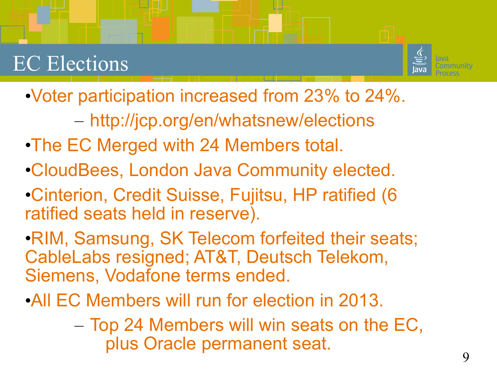#### EC Elections

![](_page_8_Picture_1.jpeg)

•Voter participation increased from 23% to 24%.

– http://jcp.org/en/whatsnew/elections

- •The EC Merged with 24 Members total.
- •CloudBees, London Java Community elected.
- •Cinterion, Credit Suisse, Fujitsu, HP ratified (6 ratified seats held in reserve).
- •RIM, Samsung, SK Telecom forfeited their seats; CableLabs resigned; AT&T, Deutsch Telekom, Siemens, Vodafone terms ended.
- •All EC Members will run for election in 2013.
	- Top 24 Members will win seats on the EC, plus Oracle permanent seat.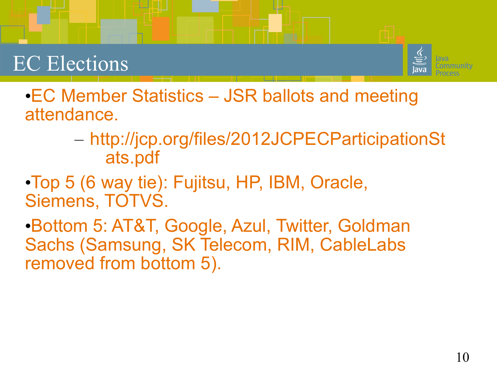#### EC Elections

![](_page_9_Picture_1.jpeg)

•EC Member Statistics – JSR ballots and meeting attendance.

- http://jcp.org/files/2012JCPECParticipationSt ats.pdf
- •Top 5 (6 way tie): Fujitsu, HP, IBM, Oracle, Siemens, TOTVS.

•Bottom 5: AT&T, Google, Azul, Twitter, Goldman Sachs (Samsung, SK Telecom, RIM, CableLabs removed from bottom 5).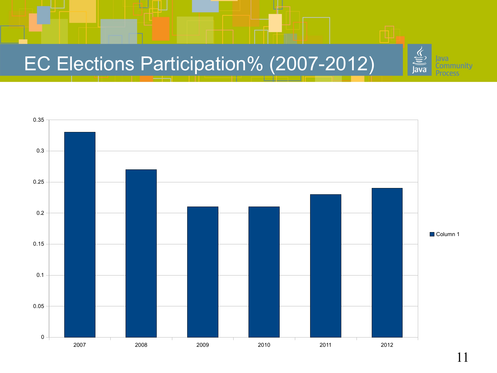#### EC Elections Participation% (2007-2012)

![](_page_10_Figure_1.jpeg)

sva **Community** 

ava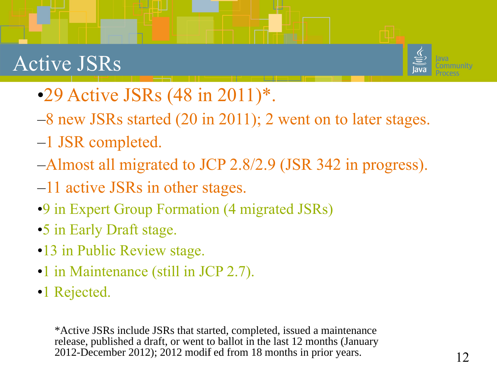#### Active JSRs

![](_page_11_Picture_1.jpeg)

- •29 Active JSRs (48 in 2011)\*.
- –8 new JSRs started (20 in 2011); 2 went on to later stages.
- –1 JSR completed.
- –Almost all migrated to JCP 2.8/2.9 (JSR 342 in progress).
- –11 active JSRs in other stages.
- •9 in Expert Group Formation (4 migrated JSRs)
- •5 in Early Draft stage.
- •13 in Public Review stage.
- •1 in Maintenance (still in JCP 2.7).
- •1 Rejected.

\*Active JSRs include JSRs that started, completed, issued a maintenance release, published a draft, or went to ballot in the last 12 months (January 2012-December 2012); 2012 modifi ed from 18 months in prior years.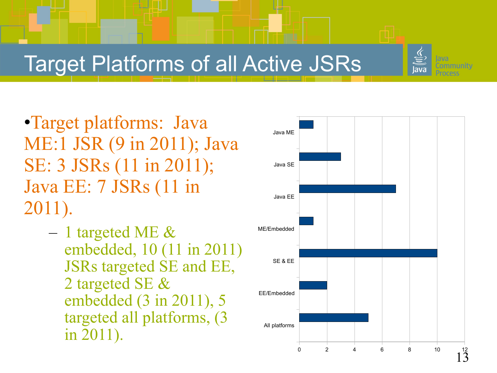![](_page_12_Picture_0.jpeg)

#### Target Platforms of all Active JSRs

•Target platforms: Java ME:1 JSR (9 in 2011); Java SE: 3 JSRs (11 in 2011); Java EE: 7 JSRs (11 in 2011).

> $-1$  targeted ME  $\&$ embedded, 10 (11 in 2011) JSRs targeted SE and EE, 2 targeted SE & embedded (3 in 2011), 5 targeted all platforms, (3 in 2011).

![](_page_12_Figure_4.jpeg)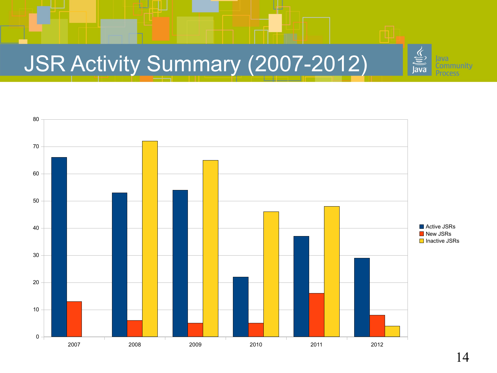## JSR Activity Summary (2007-2012)

![](_page_13_Figure_1.jpeg)

sva

lava

**Community** 

ess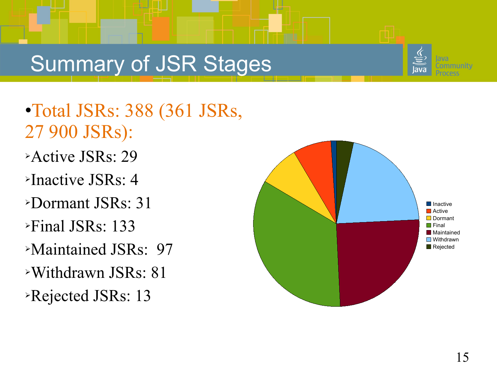#### Summary of JSR Stages

![](_page_14_Picture_1.jpeg)

- •Total JSRs: 388 (361 JSRs, 27 900 JSRs):
- ➢Active JSRs: 29
- $\triangleright$ Inactive JSRs: 4
- ➢Dormant JSRs: 31
- ➢Final JSRs: 133
- ➢Maintained JSRs: 97
- ➢Withdrawn JSRs: 81
- ➢Rejected JSRs: 13

![](_page_14_Figure_10.jpeg)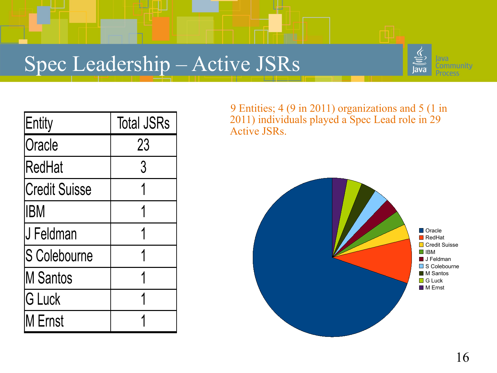#### Spec Leadership – Active JSRs

![](_page_15_Picture_1.jpeg)

| Entity               | <b>Total JSRs</b> |
|----------------------|-------------------|
| Oracle               | 23                |
| <b>RedHat</b>        | 3                 |
| <b>Credit Suisse</b> |                   |
| <b>IBM</b>           |                   |
| <b>J Feldman</b>     |                   |
| <b>S</b> Colebourne  | 1                 |
| <b>IM Santos</b>     | 1                 |
| <b>G Luck</b>        |                   |
| M Ernst              |                   |

 9 Entities; 4 (9 in 2011) organizations and 5 (1 in 2011) individuals played a Spec Lead role in 29 Active JSRs.

![](_page_15_Figure_4.jpeg)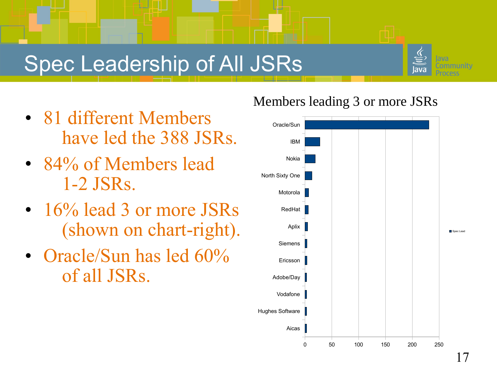#### Spec Leadership of All JSRs

![](_page_16_Picture_1.jpeg)

- 81 different Members have led the 388 JSRs.
- 84% of Members lead 1-2 JSRs.
- 16% lead 3 or more JSRs (shown on chart-right).
- Oracle/Sun has led 60% of all JSRs.

#### Members leading 3 or more JSRs

![](_page_16_Figure_7.jpeg)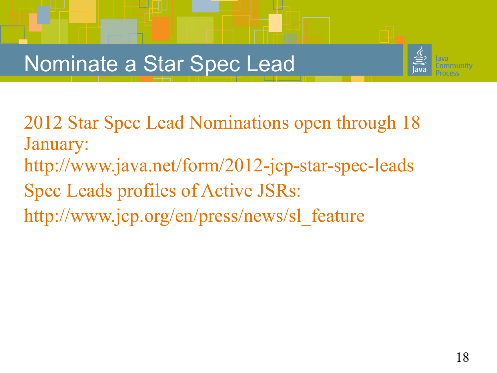#### Nominate a Star Spec Lead

![](_page_17_Picture_1.jpeg)

2012 Star Spec Lead Nominations open through 18 January: <http://www.java.net/form/2012-jcp-star-spec-leads> Spec Leads profiles of Active JSRs: http://www.jcp.org/en/press/news/sl\_feature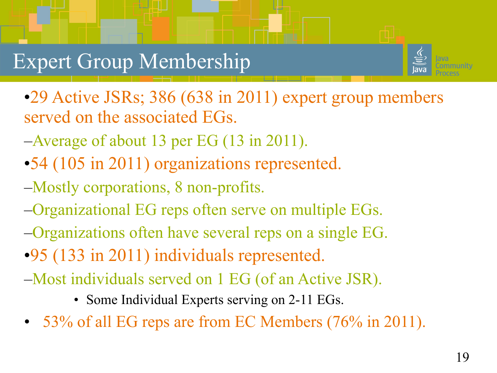#### Expert Group Membership

![](_page_18_Picture_1.jpeg)

•29 Active JSRs; 386 (638 in 2011) expert group members served on the associated EGs.

- –Average of about 13 per EG (13 in 2011).
- •54 (105 in 2011) organizations represented.
- –Mostly corporations, 8 non-profits.
- –Organizational EG reps often serve on multiple EGs.
- –Organizations often have several reps on a single EG.
- •95 (133 in 2011) individuals represented.
- –Most individuals served on 1 EG (of an Active JSR).
	- Some Individual Experts serving on 2-11 EGs.
- 53% of all EG reps are from EC Members (76% in 2011).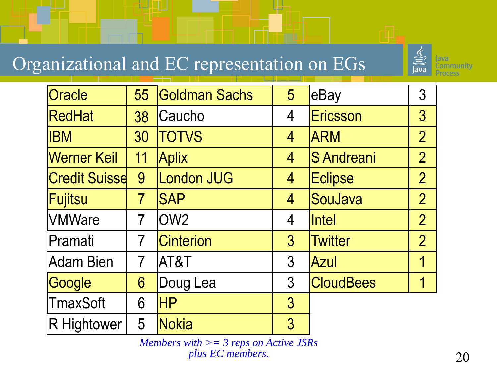#### Organizational and EC representation on EGs

![](_page_19_Picture_1.jpeg)

| Oracle               | 55             | <b>Goldman Sachs</b> | 5               | eBay              | 3               |
|----------------------|----------------|----------------------|-----------------|-------------------|-----------------|
| RedHat               | 38             | Caucho               | 4               | Ericsson          | $3\overline{3}$ |
| <b>IBM</b>           | 30             | <b>TOTVS</b>         | 4               | <b>ARM</b>        | $\overline{2}$  |
| <b>Werner Keil</b>   | 11             | <b>Aplix</b>         | 4               | <b>S</b> Andreani | $\overline{2}$  |
| <b>Credit Suisse</b> | 9              | London JUG           | 4               | Eclipse           | $\overline{2}$  |
| <b>Fujitsu</b>       | 7              | <b>SAP</b>           | 4               | SouJava           | $\overline{2}$  |
| <b>VMWare</b>        | $\overline{7}$ | OW <sub>2</sub>      | 4               | <b>Intel</b>      | $\overline{2}$  |
| Pramati              | $\overline{7}$ | <b>Cinterion</b>     | $3\overline{)}$ | <b>Twitter</b>    | $\overline{2}$  |
| <b>Adam Bien</b>     | $\overline{7}$ | AT&T                 | $\mathfrak{S}$  | <b>Azul</b>       | 1               |
| Google               | 6              | Doug Lea             | 3               | <b>CloudBees</b>  | 1               |
| <b>TmaxSoft</b>      | 6              | <b>HP</b>            | $3\overline{3}$ |                   |                 |
| R Hightower          | 5              | <b>Nokia</b>         | 3               |                   |                 |

*Members with >= 3 reps on Active JSRs plus EC members.*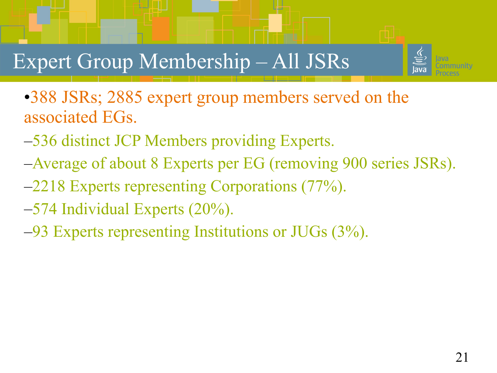![](_page_20_Picture_0.jpeg)

#### Expert Group Membership – All JSRs

•388 JSRs; 2885 expert group members served on the associated EGs.

- –536 distinct JCP Members providing Experts.
- –Average of about 8 Experts per EG (removing 900 series JSRs).
- –2218 Experts representing Corporations (77%).
- –574 Individual Experts (20%).
- –93 Experts representing Institutions or JUGs (3%).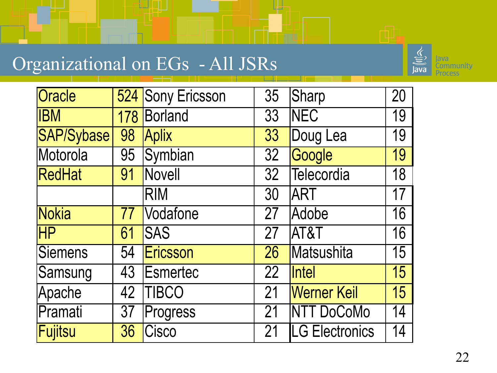#### Organizational on EGs - All JSRs

![](_page_21_Picture_1.jpeg)

| Oracle                   |     | 524 Sony Ericsson | 35 | Sharp                 | 20 |
|--------------------------|-----|-------------------|----|-----------------------|----|
| <b>IBM</b>               | 178 | Borland           | 33 | <b>NEC</b>            | 19 |
| <b>SAP/Sybase</b>        | 98  | Aplix             | 33 | Doug Lea              | 19 |
| Motorola                 | 95  | Symbian           | 32 | Google                | 19 |
| RedHat                   | 91  | Novell            | 32 | Telecordia            | 18 |
|                          |     | <b>RIM</b>        | 30 | <b>JART</b>           | 17 |
| <b>Nokia</b>             | 77  | Vodafone          | 27 | Adobe                 | 16 |
| $\overline{\mathsf{HP}}$ | 61  | <b>SAS</b>        | 27 | AT&T                  | 16 |
| <b>Siemens</b>           | 54  | Ericsson          | 26 | Matsushita            | 15 |
| Samsung                  | 43  | Esmertec          | 22 | <i><b>Intel</b></i>   | 15 |
| Apache                   | 42  | <b>TIBCO</b>      | 21 | <b>Werner Keil</b>    | 15 |
| Pramati                  | 37  | Progress          | 21 | <b>NTT DoCoMo</b>     | 14 |
| Fujitsu                  | 36  | Cisco             | 21 | <b>LG Electronics</b> | 14 |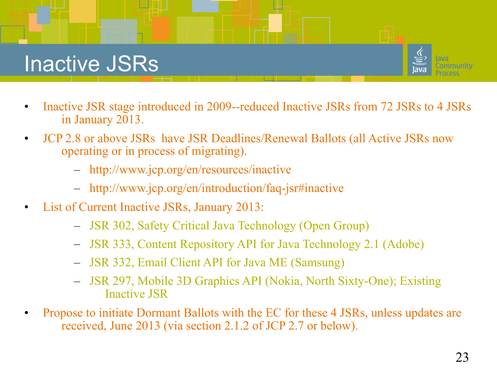#### Inactive JSRs

![](_page_22_Picture_1.jpeg)

- Inactive JSR stage introduced in 2009--reduced Inactive JSRs from 72 JSRs to 4 JSRs in January 2013.
- JCP 2.8 or above JSRs have JSR Deadlines/Renewal Ballots (all Active JSRs now operating or in process of migrating).
	- <http://www.jcp.org/en/resources/inactive>
	- <http://www.jcp.org/en/introduction/faq-jsr#inactive>
- List of Current Inactive JSRs, January 2013:
	- JSR 302, Safety Critical Java Technology (Open Group)
	- JSR 333, Content Repository API for Java Technology 2.1 (Adobe)
	- JSR 332, Email Client API for Java ME (Samsung)
	- JSR 297, Mobile 3D Graphics API (Nokia, North Sixty-One); Existing Inactive JSR
- Propose to initiate Dormant Ballots with the EC for these 4 JSRs, unless updates are received, June 2013 (via section 2.1.2 of JCP 2.7 or below).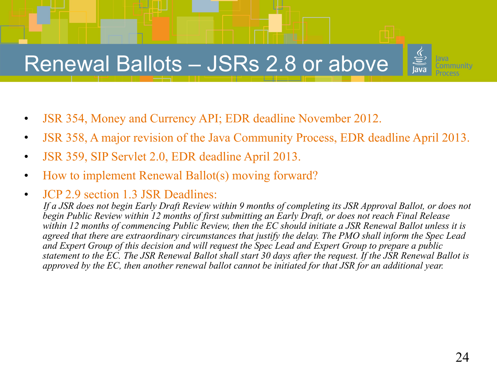#### Renewal Ballots – JSRs 2.8 or above

- JSR 354, Money and Currency API; EDR deadline November 2012.
- JSR 358, A major revision of the Java Community Process, EDR deadline April 2013.
- JSR 359, SIP Servlet 2.0, EDR deadline April 2013.
- How to implement Renewal Ballot(s) moving forward?
- JCP 2.9 section 1.3 JSR Deadlines:

 *If a JSR does not begin Early Draft Review within 9 months of completing its JSR Approval Ballot, or does not begin Public Review within 12 months of first submitting an Early Draft, or does not reach Final Release within 12 months of commencing Public Review, then the EC should initiate a JSR Renewal Ballot unless it is agreed that there are extraordinary circumstances that justify the delay. The PMO shall inform the Spec Lead and Expert Group of this decision and will request the Spec Lead and Expert Group to prepare a public statement to the EC. The JSR Renewal Ballot shall start 30 days after the request. If the JSR Renewal Ballot is approved by the EC, then another renewal ballot cannot be initiated for that JSR for an additional year.*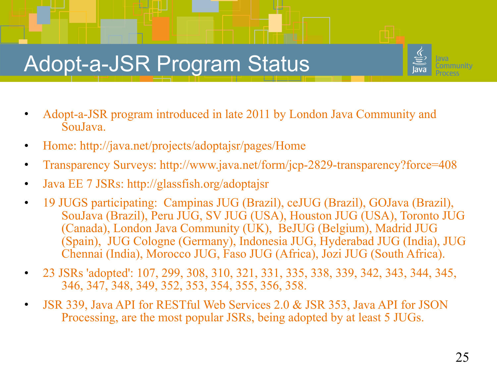#### Adopt-a-JSR Program Status

- Adopt-a-JSR program introduced in late 2011 by London Java Community and SouJava.
- Home:<http://java.net/projects/adoptajsr/pages/Home>
- Transparency Surveys: http://www.java.net/form/jcp-2829-transparency?force=408
- Java EE 7 JSRs:<http://glassfish.org/adoptajsr>
- 19 JUGS participating: Campinas JUG (Brazil), ceJUG (Brazil), GOJava (Brazil), SouJava (Brazil), Peru JUG, SV JUG (USA), Houston JUG (USA), Toronto JUG (Canada), London Java Community (UK), BeJUG (Belgium), Madrid JUG (Spain), JUG Cologne (Germany), Indonesia JUG, Hyderabad JUG (India), JUG Chennai (India), Morocco JUG, Faso JUG (Africa), Jozi JUG (South Africa).
- 23 JSRs 'adopted': 107, 299, 308, 310, 321, 331, 335, 338, 339, 342, 343, 344, 345, 346, 347, 348, 349, 352, 353, 354, 355, 356, 358.
- JSR 339, Java API for RESTful Web Services 2.0 & JSR 353, Java API for JSON Processing, are the most popular JSRs, being adopted by at least 5 JUGs.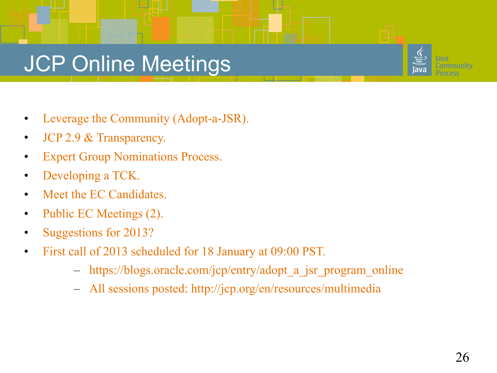#### JCP Online Meetings

- Leverage the Community (Adopt-a-JSR).
- JCP 2.9 & Transparency.
- **Expert Group Nominations Process.**
- Developing a TCK.
- Meet the EC Candidates.
- Public EC Meetings (2).
- Suggestions for 2013?
- First call of 2013 scheduled for 18 January at 09:00 PST.
	- [https://blogs.oracle.com/jcp/entry/adopt\\_a\\_jsr\\_program\\_online](https://blogs.oracle.com/jcp/entry/adopt_a_jsr_program_online)
	- All sessions posted: http://jcp.org/en/resources/multimedia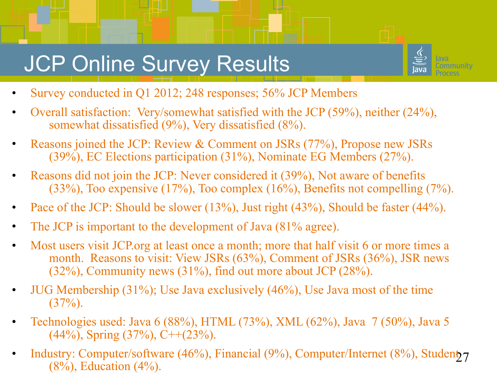#### **JCP Online Survey Results**

![](_page_26_Picture_1.jpeg)

- Survey conducted in Q1 2012; 248 responses; 56% JCP Members
- Overall satisfaction: Very/somewhat satisfied with the JCP (59%), neither (24%), somewhat dissatisfied (9%), Very dissatisfied (8%).
- Reasons joined the JCP: Review & Comment on JSRs (77%), Propose new JSRs (39%), EC Elections participation (31%), Nominate EG Members (27%).
- Reasons did not join the JCP: Never considered it (39%), Not aware of benefits (33%), Too expensive (17%), Too complex (16%), Benefits not compelling (7%).
- Pace of the JCP: Should be slower (13%), Just right (43%), Should be faster (44%).
- The JCP is important to the development of Java (81% agree).
- Most users visit JCP org at least once a month; more that half visit 6 or more times a month. Reasons to visit: View JSRs (63%), Comment of JSRs (36%), JSR news (32%), Community news (31%), find out more about JCP (28%).
- JUG Membership (31%); Use Java exclusively (46%), Use Java most of the time  $(37\%)$ .
- Technologies used: Java 6 (88%), HTML (73%), XML (62%), Java 7 (50%), Java 5  $(44\%)$ , Spring  $(37\%)$ , C++ $(23\%)$ .
- Industry: Computer/software  $(46%)$ , Financial  $(9%)$ , Computer/Internet  $(8%)$ , Student<sub>2</sub>7  $(8\%)$ , Education  $(4\%)$ .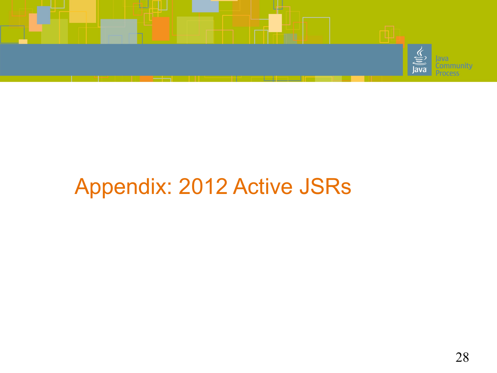![](_page_27_Picture_0.jpeg)

#### Appendix: 2012 Active JSRs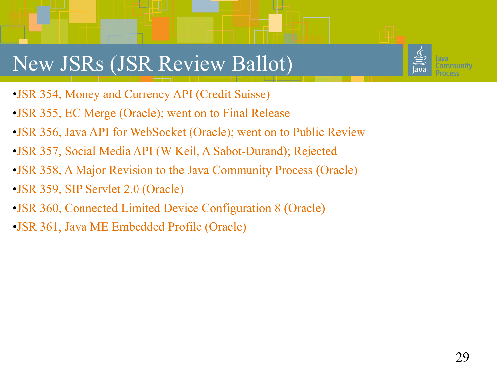#### New JSRs (JSR Review Ballot)

- •JSR 354, Money and Currency API (Credit Suisse)
- •JSR 355, EC Merge (Oracle); went on to Final Release
- •JSR 356, Java API for WebSocket (Oracle); went on to Public Review
- •JSR 357, Social Media API (W Keil, A Sabot-Durand); Rejected
- •JSR 358, A Major Revision to the Java Community Process (Oracle)
- •JSR 359, SIP Servlet 2.0 (Oracle)
- •JSR 360, Connected Limited Device Configuration 8 (Oracle)
- •JSR 361, Java ME Embedded Profile (Oracle)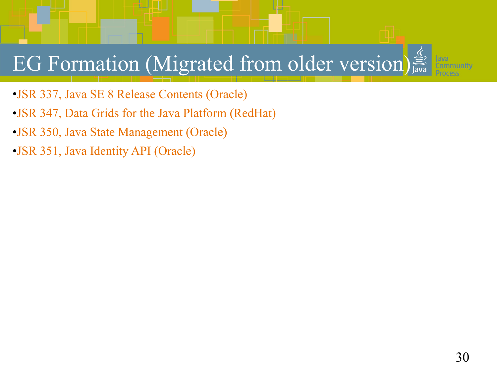## EG Formation (Migrated from older version)

- •JSR 337, Java SE 8 Release Contents (Oracle)
- •JSR 347, Data Grids for the Java Platform (RedHat)
- •JSR 350, Java State Management (Oracle)
- •JSR 351, Java Identity API (Oracle)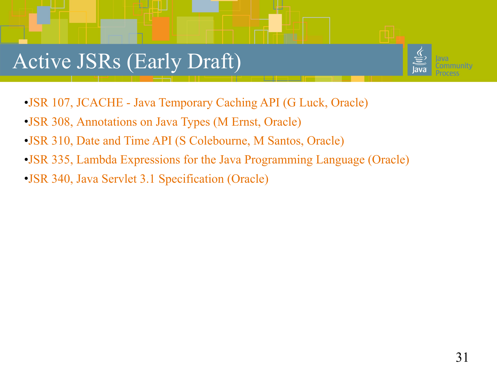#### Active JSRs (Early Draft)

![](_page_30_Picture_1.jpeg)

- •JSR 107, JCACHE Java Temporary Caching API (G Luck, Oracle)
- •JSR 308, Annotations on Java Types (M Ernst, Oracle)
- •JSR 310, Date and Time API (S Colebourne, M Santos, Oracle)
- •JSR 335, Lambda Expressions for the Java Programming Language (Oracle)
- •JSR 340, Java Servlet 3.1 Specification (Oracle)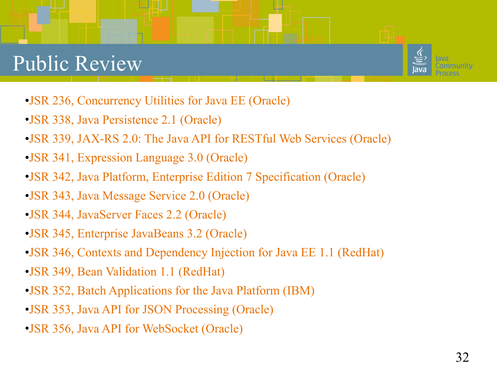#### Public Review

![](_page_31_Picture_1.jpeg)

- •JSR 236, Concurrency Utilities for Java EE (Oracle)
- •JSR 338, Java Persistence 2.1 (Oracle)
- •JSR 339, JAX-RS 2.0: The Java API for RESTful Web Services (Oracle)
- •JSR 341, Expression Language 3.0 (Oracle)
- •JSR 342, Java Platform, Enterprise Edition 7 Specification (Oracle)
- •JSR 343, Java Message Service 2.0 (Oracle)
- •JSR 344, JavaServer Faces 2.2 (Oracle)
- •JSR 345, Enterprise JavaBeans 3.2 (Oracle)
- •JSR 346, Contexts and Dependency Injection for Java EE 1.1 (RedHat)
- •JSR 349, Bean Validation 1.1 (RedHat)
- •JSR 352, Batch Applications for the Java Platform (IBM)
- •JSR 353, Java API for JSON Processing (Oracle)
- •JSR 356, Java API for WebSocket (Oracle)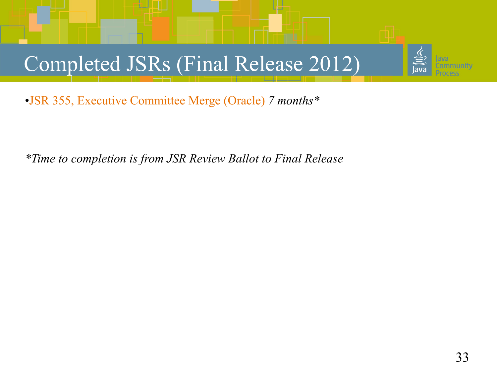### Completed JSRs (Final Release 2012)

•JSR 355, Executive Committee Merge (Oracle) *7 months\**

*\*Time to completion is from JSR Review Ballot to Final Release*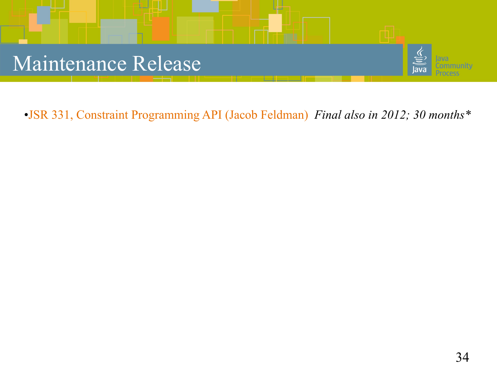![](_page_33_Picture_0.jpeg)

•JSR 331, Constraint Programming API (Jacob Feldman) *Final also in 2012; 30 months\**